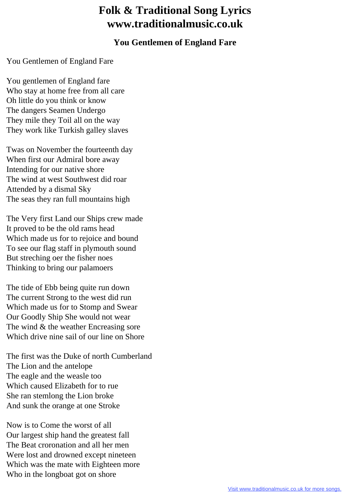## **Folk & Traditional Song Lyrics www.traditionalmusic.co.uk**

## **You Gentlemen of England Fare**

You Gentlemen of England Fare

You gentlemen of England fare Who stay at home free from all care Oh little do you think or know The dangers Seamen Undergo They mile they Toil all on the way They work like Turkish galley slaves

Twas on November the fourteenth day When first our Admiral bore away Intending for our native shore The wind at west Southwest did roar Attended by a dismal Sky The seas they ran full mountains high

The Very first Land our Ships crew made It proved to be the old rams head Which made us for to rejoice and bound To see our flag staff in plymouth sound But streching oer the fisher noes Thinking to bring our palamoers

The tide of Ebb being quite run down The current Strong to the west did run Which made us for to Stomp and Swear Our Goodly Ship She would not wear The wind & the weather Encreasing sore Which drive nine sail of our line on Shore

The first was the Duke of north Cumberland The Lion and the antelope The eagle and the weasle too Which caused Elizabeth for to rue She ran stemlong the Lion broke And sunk the orange at one Stroke

Now is to Come the worst of all Our largest ship hand the greatest fall The Beat croronation and all her men Were lost and drowned except nineteen Which was the mate with Eighteen more Who in the longboat got on shore